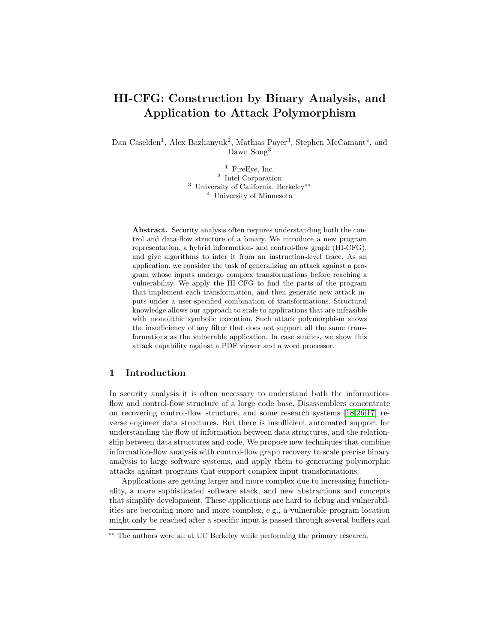# HI-CFG: Construction by Binary Analysis, and Application to Attack Polymorphism

Dan Caselden<sup>1</sup>, Alex Bazhanyuk<sup>2</sup>, Mathias Payer<sup>3</sup>, Stephen McCamant<sup>4</sup>, and Dawn Song<sup>3</sup>

> $<sup>1</sup>$  FireEye, Inc.</sup> Intel Corporation University of California, Berkeley\*\* University of Minnesota

Abstract. Security analysis often requires understanding both the control and data-flow structure of a binary. We introduce a new program representation, a hybrid information- and control-flow graph (HI-CFG), and give algorithms to infer it from an instruction-level trace. As an application, we consider the task of generalizing an attack against a program whose inputs undergo complex transformations before reaching a vulnerability. We apply the HI-CFG to find the parts of the program that implement each transformation, and then generate new attack inputs under a user-specified combination of transformations. Structural knowledge allows our approach to scale to applications that are infeasible with monolithic symbolic execution. Such attack polymorphism shows the insufficiency of any filter that does not support all the same transformations as the vulnerable application. In case studies, we show this attack capability against a PDF viewer and a word processor.

# 1 Introduction

In security analysis it is often necessary to understand both the informationflow and control-flow structure of a large code base. Disassemblers concentrate on recovering control-flow structure, and some research systems [\[18](#page-17-0)[,26,](#page-17-1)[17\]](#page-17-2) reverse engineer data structures. But there is insufficient automated support for understanding the flow of information between data structures, and the relationship between data structures and code. We propose new techniques that combine information-flow analysis with control-flow graph recovery to scale precise binary analysis to large software systems, and apply them to generating polymorphic attacks against programs that support complex input transformations.

Applications are getting larger and more complex due to increasing functionality, a more sophisticated software stack, and new abstractions and concepts that simplify development. These applications are hard to debug and vulnerabilities are becoming more and more complex, e.g., a vulnerable program location might only be reached after a specific input is passed through several buffers and

 $\overline{a}$ <sup>\*\*</sup> The authors were all at UC Berkeley while performing the primary research.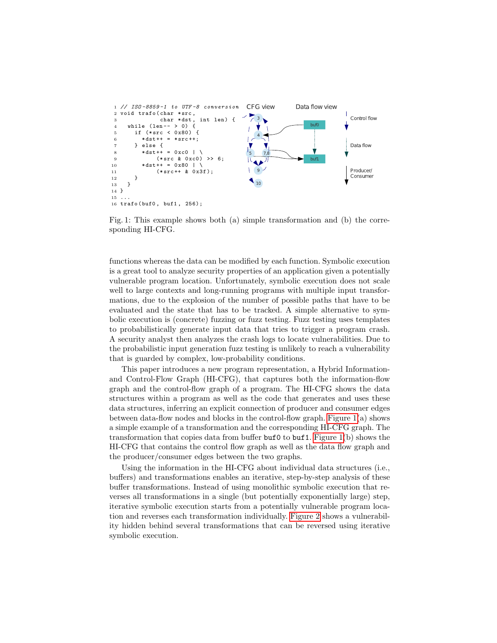<span id="page-1-0"></span>

Fig. 1: This example shows both (a) simple transformation and (b) the corresponding HI-CFG.

functions whereas the data can be modified by each function. Symbolic execution is a great tool to analyze security properties of an application given a potentially vulnerable program location. Unfortunately, symbolic execution does not scale well to large contexts and long-running programs with multiple input transformations, due to the explosion of the number of possible paths that have to be evaluated and the state that has to be tracked. A simple alternative to symbolic execution is (concrete) fuzzing or fuzz testing. Fuzz testing uses templates to probabilistically generate input data that tries to trigger a program crash. A security analyst then analyzes the crash logs to locate vulnerabilities. Due to the probabilistic input generation fuzz testing is unlikely to reach a vulnerability that is guarded by complex, low-probability conditions.

This paper introduces a new program representation, a Hybrid Informationand Control-Flow Graph (HI-CFG), that captures both the information-flow graph and the control-flow graph of a program. The HI-CFG shows the data structures within a program as well as the code that generates and uses these data structures, inferring an explicit connection of producer and consumer edges between data-flow nodes and blocks in the control-flow graph. [Figure 1\(](#page-1-0)a) shows a simple example of a transformation and the corresponding HI-CFG graph. The transformation that copies data from buffer  $\text{buf}0$  to  $\text{buf}1$ . [Figure 1\(](#page-1-0)b) shows the HI-CFG that contains the control flow graph as well as the data flow graph and the producer/consumer edges between the two graphs.

Using the information in the HI-CFG about individual data structures (i.e., buffers) and transformations enables an iterative, step-by-step analysis of these buffer transformations. Instead of using monolithic symbolic execution that reverses all transformations in a single (but potentially exponentially large) step, iterative symbolic execution starts from a potentially vulnerable program location and reverses each transformation individually. [Figure 2](#page-2-0) shows a vulnerability hidden behind several transformations that can be reversed using iterative symbolic execution.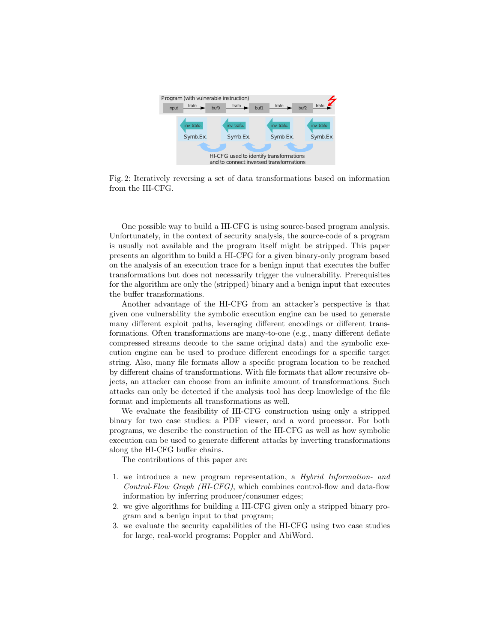<span id="page-2-0"></span>

Fig. 2: Iteratively reversing a set of data transformations based on information from the HI-CFG.

One possible way to build a HI-CFG is using source-based program analysis. Unfortunately, in the context of security analysis, the source-code of a program is usually not available and the program itself might be stripped. This paper presents an algorithm to build a HI-CFG for a given binary-only program based on the analysis of an execution trace for a benign input that executes the buffer transformations but does not necessarily trigger the vulnerability. Prerequisites for the algorithm are only the (stripped) binary and a benign input that executes the buffer transformations.

Another advantage of the HI-CFG from an attacker's perspective is that given one vulnerability the symbolic execution engine can be used to generate many different exploit paths, leveraging different encodings or different transformations. Often transformations are many-to-one (e.g., many different deflate compressed streams decode to the same original data) and the symbolic execution engine can be used to produce different encodings for a specific target string. Also, many file formats allow a specific program location to be reached by different chains of transformations. With file formats that allow recursive objects, an attacker can choose from an infinite amount of transformations. Such attacks can only be detected if the analysis tool has deep knowledge of the file format and implements all transformations as well.

We evaluate the feasibility of HI-CFG construction using only a stripped binary for two case studies: a PDF viewer, and a word processor. For both programs, we describe the construction of the HI-CFG as well as how symbolic execution can be used to generate different attacks by inverting transformations along the HI-CFG buffer chains.

The contributions of this paper are:

- 1. we introduce a new program representation, a Hybrid Information- and Control-Flow Graph (HI-CFG), which combines control-flow and data-flow information by inferring producer/consumer edges;
- 2. we give algorithms for building a HI-CFG given only a stripped binary program and a benign input to that program;
- 3. we evaluate the security capabilities of the HI-CFG using two case studies for large, real-world programs: Poppler and AbiWord.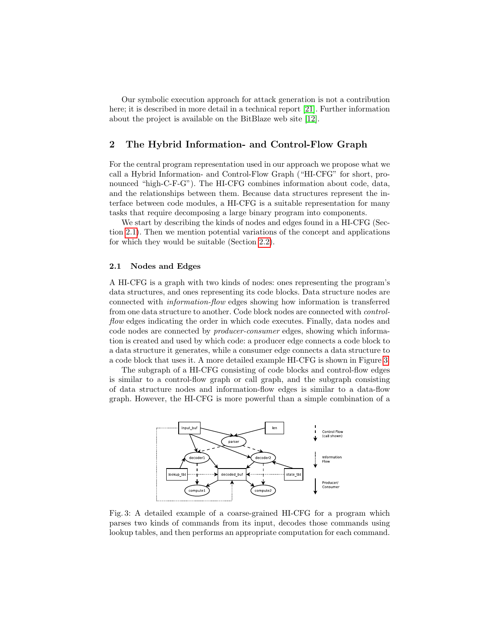Our symbolic execution approach for attack generation is not a contribution here; it is described in more detail in a technical report [\[21\]](#page-17-3). Further information about the project is available on the BitBlaze web site [\[12\]](#page-17-4).

## 2 The Hybrid Information- and Control-Flow Graph

For the central program representation used in our approach we propose what we call a Hybrid Information- and Control-Flow Graph ("HI-CFG" for short, pronounced "high-C-F-G"). The HI-CFG combines information about code, data, and the relationships between them. Because data structures represent the interface between code modules, a HI-CFG is a suitable representation for many tasks that require decomposing a large binary program into components.

We start by describing the kinds of nodes and edges found in a HI-CFG (Section [2.1\)](#page-3-0). Then we mention potential variations of the concept and applications for which they would be suitable (Section [2.2\)](#page-4-0).

#### <span id="page-3-0"></span>2.1 Nodes and Edges

A HI-CFG is a graph with two kinds of nodes: ones representing the program's data structures, and ones representing its code blocks. Data structure nodes are connected with information-flow edges showing how information is transferred from one data structure to another. Code block nodes are connected with controlflow edges indicating the order in which code executes. Finally, data nodes and code nodes are connected by producer-consumer edges, showing which information is created and used by which code: a producer edge connects a code block to a data structure it generates, while a consumer edge connects a data structure to a code block that uses it. A more detailed example HI-CFG is shown in Figure [3.](#page-3-1)

The subgraph of a HI-CFG consisting of code blocks and control-flow edges is similar to a control-flow graph or call graph, and the subgraph consisting of data structure nodes and information-flow edges is similar to a data-flow graph. However, the HI-CFG is more powerful than a simple combination of a

<span id="page-3-1"></span>

Fig. 3: A detailed example of a coarse-grained HI-CFG for a program which parses two kinds of commands from its input, decodes those commands using lookup tables, and then performs an appropriate computation for each command.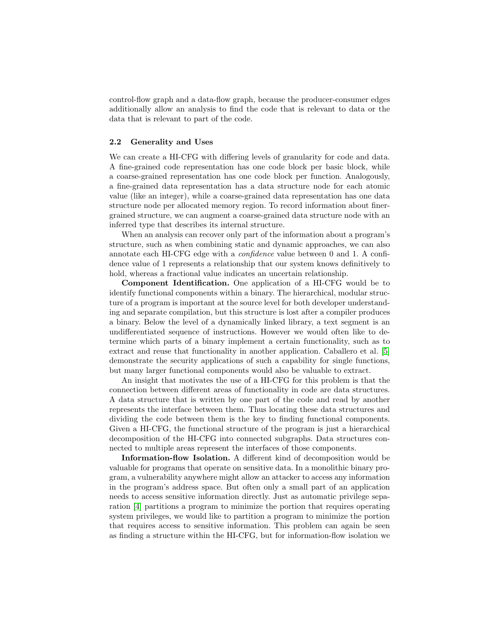control-flow graph and a data-flow graph, because the producer-consumer edges additionally allow an analysis to find the code that is relevant to data or the data that is relevant to part of the code.

#### <span id="page-4-0"></span>2.2 Generality and Uses

We can create a HI-CFG with differing levels of granularity for code and data. A fine-grained code representation has one code block per basic block, while a coarse-grained representation has one code block per function. Analogously, a fine-grained data representation has a data structure node for each atomic value (like an integer), while a coarse-grained data representation has one data structure node per allocated memory region. To record information about finergrained structure, we can augment a coarse-grained data structure node with an inferred type that describes its internal structure.

When an analysis can recover only part of the information about a program's structure, such as when combining static and dynamic approaches, we can also annotate each HI-CFG edge with a confidence value between 0 and 1. A confidence value of 1 represents a relationship that our system knows definitively to hold, whereas a fractional value indicates an uncertain relationship.

Component Identification. One application of a HI-CFG would be to identify functional components within a binary. The hierarchical, modular structure of a program is important at the source level for both developer understanding and separate compilation, but this structure is lost after a compiler produces a binary. Below the level of a dynamically linked library, a text segment is an undifferentiated sequence of instructions. However we would often like to determine which parts of a binary implement a certain functionality, such as to extract and reuse that functionality in another application. Caballero et al. [\[5\]](#page-16-0) demonstrate the security applications of such a capability for single functions, but many larger functional components would also be valuable to extract.

An insight that motivates the use of a HI-CFG for this problem is that the connection between different areas of functionality in code are data structures. A data structure that is written by one part of the code and read by another represents the interface between them. Thus locating these data structures and dividing the code between them is the key to finding functional components. Given a HI-CFG, the functional structure of the program is just a hierarchical decomposition of the HI-CFG into connected subgraphs. Data structures connected to multiple areas represent the interfaces of those components.

Information-flow Isolation. A different kind of decomposition would be valuable for programs that operate on sensitive data. In a monolithic binary program, a vulnerability anywhere might allow an attacker to access any information in the program's address space. But often only a small part of an application needs to access sensitive information directly. Just as automatic privilege separation [\[4\]](#page-16-1) partitions a program to minimize the portion that requires operating system privileges, we would like to partition a program to minimize the portion that requires access to sensitive information. This problem can again be seen as finding a structure within the HI-CFG, but for information-flow isolation we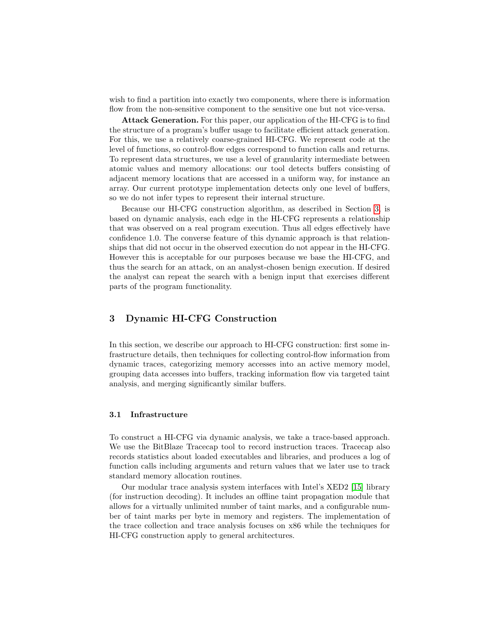wish to find a partition into exactly two components, where there is information flow from the non-sensitive component to the sensitive one but not vice-versa.

Attack Generation. For this paper, our application of the HI-CFG is to find the structure of a program's buffer usage to facilitate efficient attack generation. For this, we use a relatively coarse-grained HI-CFG. We represent code at the level of functions, so control-flow edges correspond to function calls and returns. To represent data structures, we use a level of granularity intermediate between atomic values and memory allocations: our tool detects buffers consisting of adjacent memory locations that are accessed in a uniform way, for instance an array. Our current prototype implementation detects only one level of buffers, so we do not infer types to represent their internal structure.

Because our HI-CFG construction algorithm, as described in Section [3,](#page-5-0) is based on dynamic analysis, each edge in the HI-CFG represents a relationship that was observed on a real program execution. Thus all edges effectively have confidence 1.0. The converse feature of this dynamic approach is that relationships that did not occur in the observed execution do not appear in the HI-CFG. However this is acceptable for our purposes because we base the HI-CFG, and thus the search for an attack, on an analyst-chosen benign execution. If desired the analyst can repeat the search with a benign input that exercises different parts of the program functionality.

# <span id="page-5-0"></span>3 Dynamic HI-CFG Construction

In this section, we describe our approach to HI-CFG construction: first some infrastructure details, then techniques for collecting control-flow information from dynamic traces, categorizing memory accesses into an active memory model, grouping data accesses into buffers, tracking information flow via targeted taint analysis, and merging significantly similar buffers.

## 3.1 Infrastructure

To construct a HI-CFG via dynamic analysis, we take a trace-based approach. We use the BitBlaze Tracecap tool to record instruction traces. Tracecap also records statistics about loaded executables and libraries, and produces a log of function calls including arguments and return values that we later use to track standard memory allocation routines.

Our modular trace analysis system interfaces with Intel's XED2 [\[15\]](#page-17-5) library (for instruction decoding). It includes an offline taint propagation module that allows for a virtually unlimited number of taint marks, and a configurable number of taint marks per byte in memory and registers. The implementation of the trace collection and trace analysis focuses on x86 while the techniques for HI-CFG construction apply to general architectures.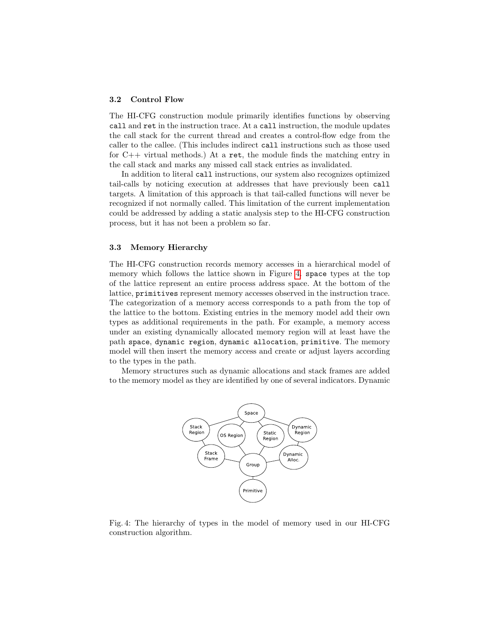#### 3.2 Control Flow

The HI-CFG construction module primarily identifies functions by observing call and ret in the instruction trace. At a call instruction, the module updates the call stack for the current thread and creates a control-flow edge from the caller to the callee. (This includes indirect call instructions such as those used for  $C++$  virtual methods.) At a ret, the module finds the matching entry in the call stack and marks any missed call stack entries as invalidated.

In addition to literal call instructions, our system also recognizes optimized tail-calls by noticing execution at addresses that have previously been call targets. A limitation of this approach is that tail-called functions will never be recognized if not normally called. This limitation of the current implementation could be addressed by adding a static analysis step to the HI-CFG construction process, but it has not been a problem so far.

## 3.3 Memory Hierarchy

The HI-CFG construction records memory accesses in a hierarchical model of memory which follows the lattice shown in Figure [4.](#page-6-0) space types at the top of the lattice represent an entire process address space. At the bottom of the lattice, primitives represent memory accesses observed in the instruction trace. The categorization of a memory access corresponds to a path from the top of the lattice to the bottom. Existing entries in the memory model add their own types as additional requirements in the path. For example, a memory access under an existing dynamically allocated memory region will at least have the path space, dynamic region, dynamic allocation, primitive. The memory model will then insert the memory access and create or adjust layers according to the types in the path.

<span id="page-6-0"></span>Memory structures such as dynamic allocations and stack frames are added to the memory model as they are identified by one of several indicators. Dynamic



Fig. 4: The hierarchy of types in the model of memory used in our HI-CFG construction algorithm.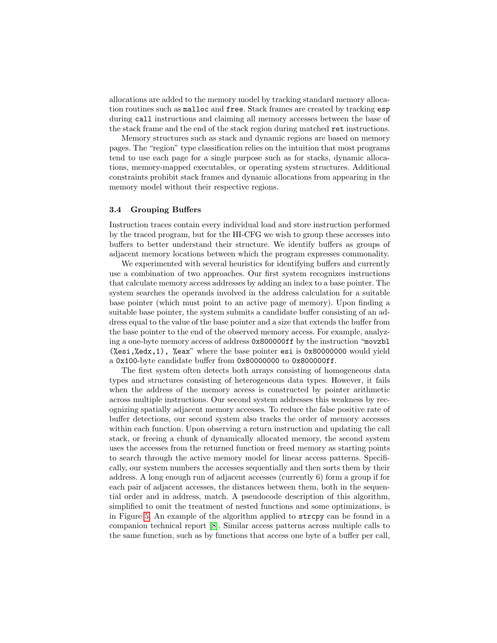allocations are added to the memory model by tracking standard memory allocation routines such as malloc and free. Stack frames are created by tracking esp during call instructions and claiming all memory accesses between the base of the stack frame and the end of the stack region during matched ret instructions.

Memory structures such as stack and dynamic regions are based on memory pages. The "region" type classification relies on the intuition that most programs tend to use each page for a single purpose such as for stacks, dynamic allocations, memory-mapped executables, or operating system structures. Additional constraints prohibit stack frames and dynamic allocations from appearing in the memory model without their respective regions.

## 3.4 Grouping Buffers

Instruction traces contain every individual load and store instruction performed by the traced program, but for the HI-CFG we wish to group these accesses into buffers to better understand their structure. We identify buffers as groups of adjacent memory locations between which the program expresses commonality.

We experimented with several heuristics for identifying buffers and currently use a combination of two approaches. Our first system recognizes instructions that calculate memory access addresses by adding an index to a base pointer. The system searches the operands involved in the address calculation for a suitable base pointer (which must point to an active page of memory). Upon finding a suitable base pointer, the system submits a candidate buffer consisting of an address equal to the value of the base pointer and a size that extends the buffer from the base pointer to the end of the observed memory access. For example, analyzing a one-byte memory access of address 0x800000ff by the instruction "movzbl (%esi,%edx,1), %eax" where the base pointer esi is 0x80000000 would yield a 0x100-byte candidate buffer from 0x80000000 to 0x800000ff.

The first system often detects both arrays consisting of homogeneous data types and structures consisting of heterogeneous data types. However, it fails when the address of the memory access is constructed by pointer arithmetic across multiple instructions. Our second system addresses this weakness by recognizing spatially adjacent memory accesses. To reduce the false positive rate of buffer detections, our second system also tracks the order of memory accesses within each function. Upon observing a return instruction and updating the call stack, or freeing a chunk of dynamically allocated memory, the second system uses the accesses from the returned function or freed memory as starting points to search through the active memory model for linear access patterns. Specifically, our system numbers the accesses sequentially and then sorts them by their address. A long enough run of adjacent accesses (currently 6) form a group if for each pair of adjacent accesses, the distances between them, both in the sequential order and in address, match. A pseudocode description of this algorithm, simplified to omit the treatment of nested functions and some optimizations, is in Figure [5.](#page-8-0) An example of the algorithm applied to strcpy can be found in a companion technical report [\[8\]](#page-17-6). Similar access patterns across multiple calls to the same function, such as by functions that access one byte of a buffer per call,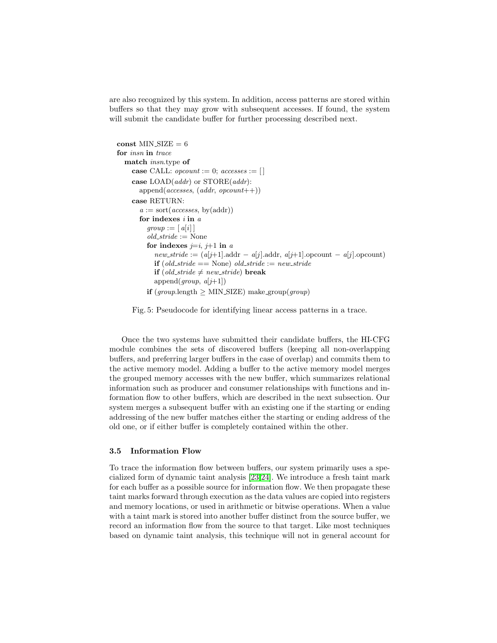are also recognized by this system. In addition, access patterns are stored within buffers so that they may grow with subsequent accesses. If found, the system will submit the candidate buffer for further processing described next.

```
const MIN\_SIZE = 6for insn in trace
match insn.type of
   case CALL: opcount := 0; accesses := []case \text{LOAD}(addr) or \text{STORE}(addr):
     append(accesses, (\text{addr}, \text{opcount++}))case RETURN:
     a := \text{sort}(accesses, \text{ by}(\text{addr}))for indexes i in \it{a}group := [a[i]]old\_stride := Nonefor indexes j=i, j+1 in a
          new\_stride := (a[j+1].addr - a[j].addr, a[j+1].opcount - a[j].opcount)if (old\_stride == None) old\_stride := new\_strideif \textit{ (old\_stride} \neq \textit{new\_stride}) break
          append(group, a[j+1])if (qroup.length > MIN_SIZE) make group(qroup)
```
Fig. 5: Pseudocode for identifying linear access patterns in a trace.

Once the two systems have submitted their candidate buffers, the HI-CFG module combines the sets of discovered buffers (keeping all non-overlapping buffers, and preferring larger buffers in the case of overlap) and commits them to the active memory model. Adding a buffer to the active memory model merges the grouped memory accesses with the new buffer, which summarizes relational information such as producer and consumer relationships with functions and information flow to other buffers, which are described in the next subsection. Our system merges a subsequent buffer with an existing one if the starting or ending addressing of the new buffer matches either the starting or ending address of the old one, or if either buffer is completely contained within the other.

# 3.5 Information Flow

To trace the information flow between buffers, our system primarily uses a specialized form of dynamic taint analysis [\[23,](#page-17-7)[24\]](#page-17-8). We introduce a fresh taint mark for each buffer as a possible source for information flow. We then propagate these taint marks forward through execution as the data values are copied into registers and memory locations, or used in arithmetic or bitwise operations. When a value with a taint mark is stored into another buffer distinct from the source buffer, we record an information flow from the source to that target. Like most techniques based on dynamic taint analysis, this technique will not in general account for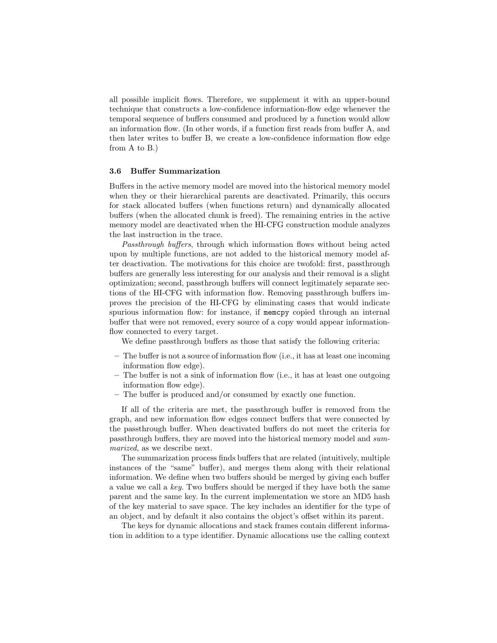all possible implicit flows. Therefore, we supplement it with an upper-bound technique that constructs a low-confidence information-flow edge whenever the temporal sequence of buffers consumed and produced by a function would allow an information flow. (In other words, if a function first reads from buffer A, and then later writes to buffer B, we create a low-confidence information flow edge from A to B.)

#### 3.6 Buffer Summarization

Buffers in the active memory model are moved into the historical memory model when they or their hierarchical parents are deactivated. Primarily, this occurs for stack allocated buffers (when functions return) and dynamically allocated buffers (when the allocated chunk is freed). The remaining entries in the active memory model are deactivated when the HI-CFG construction module analyzes the last instruction in the trace.

Passthrough buffers, through which information flows without being acted upon by multiple functions, are not added to the historical memory model after deactivation. The motivations for this choice are twofold: first, passthrough buffers are generally less interesting for our analysis and their removal is a slight optimization; second, passthrough buffers will connect legitimately separate sections of the HI-CFG with information flow. Removing passthrough buffers improves the precision of the HI-CFG by eliminating cases that would indicate spurious information flow: for instance, if memcpy copied through an internal buffer that were not removed, every source of a copy would appear informationflow connected to every target.

We define passthrough buffers as those that satisfy the following criteria:

- The buffer is not a source of information flow (i.e., it has at least one incoming information flow edge).
- The buffer is not a sink of information flow (i.e., it has at least one outgoing information flow edge).
- The buffer is produced and/or consumed by exactly one function.

If all of the criteria are met, the passthrough buffer is removed from the graph, and new information flow edges connect buffers that were connected by the passthrough buffer. When deactivated buffers do not meet the criteria for passthrough buffers, they are moved into the historical memory model and summarized, as we describe next.

The summarization process finds buffers that are related (intuitively, multiple instances of the "same" buffer), and merges them along with their relational information. We define when two buffers should be merged by giving each buffer a value we call a key. Two buffers should be merged if they have both the same parent and the same key. In the current implementation we store an MD5 hash of the key material to save space. The key includes an identifier for the type of an object, and by default it also contains the object's offset within its parent.

The keys for dynamic allocations and stack frames contain different information in addition to a type identifier. Dynamic allocations use the calling context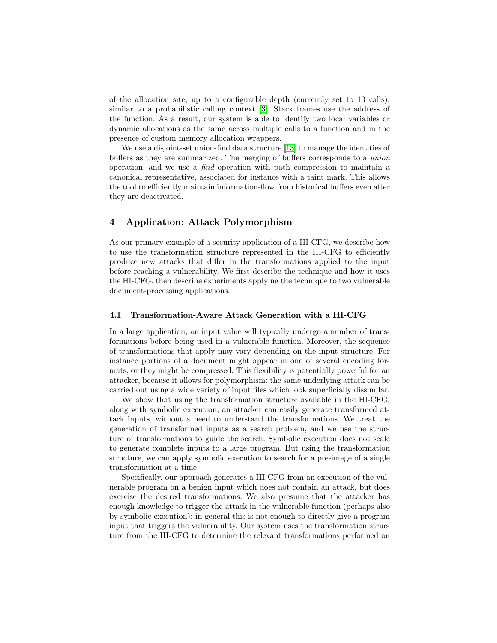of the allocation site, up to a configurable depth (currently set to 10 calls), similar to a probabilistic calling context [\[3\]](#page-16-2). Stack frames use the address of the function. As a result, our system is able to identify two local variables or dynamic allocations as the same across multiple calls to a function and in the presence of custom memory allocation wrappers.

We use a disjoint-set union-find data structure [\[13\]](#page-17-9) to manage the identities of buffers as they are summarized. The merging of buffers corresponds to a union operation, and we use a find operation with path compression to maintain a canonical representative, associated for instance with a taint mark. This allows the tool to efficiently maintain information-flow from historical buffers even after they are deactivated.

# 4 Application: Attack Polymorphism

As our primary example of a security application of a HI-CFG, we describe how to use the transformation structure represented in the HI-CFG to efficiently produce new attacks that differ in the transformations applied to the input before reaching a vulnerability. We first describe the technique and how it uses the HI-CFG, then describe experiments applying the technique to two vulnerable document-processing applications.

## 4.1 Transformation-Aware Attack Generation with a HI-CFG

In a large application, an input value will typically undergo a number of transformations before being used in a vulnerable function. Moreover, the sequence of transformations that apply may vary depending on the input structure. For instance portions of a document might appear in one of several encoding formats, or they might be compressed. This flexibility is potentially powerful for an attacker, because it allows for polymorphism: the same underlying attack can be carried out using a wide variety of input files which look superficially dissimilar.

We show that using the transformation structure available in the HI-CFG, along with symbolic execution, an attacker can easily generate transformed attack inputs, without a need to understand the transformations. We treat the generation of transformed inputs as a search problem, and we use the structure of transformations to guide the search. Symbolic execution does not scale to generate complete inputs to a large program. But using the transformation structure, we can apply symbolic execution to search for a pre-image of a single transformation at a time.

Specifically, our approach generates a HI-CFG from an execution of the vulnerable program on a benign input which does not contain an attack, but does exercise the desired transformations. We also presume that the attacker has enough knowledge to trigger the attack in the vulnerable function (perhaps also by symbolic execution); in general this is not enough to directly give a program input that triggers the vulnerability. Our system uses the transformation structure from the HI-CFG to determine the relevant transformations performed on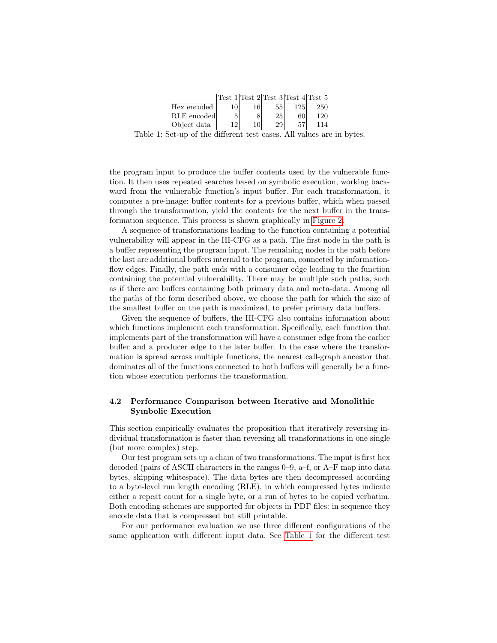|             | Test 1Test 2Test 3Test 4Test 5 |     |    |     |     |
|-------------|--------------------------------|-----|----|-----|-----|
| Hex encoded |                                | 16ı | 55 | 125 | 250 |
| RLE encoded |                                |     | 25 | 60  | 120 |
| Object data | 12.                            | 10  | 29 |     |     |
|             |                                |     |    |     |     |

<span id="page-11-0"></span>Table 1: Set-up of the different test cases. All values are in bytes.

the program input to produce the buffer contents used by the vulnerable function. It then uses repeated searches based on symbolic execution, working backward from the vulnerable function's input buffer. For each transformation, it computes a pre-image: buffer contents for a previous buffer, which when passed through the transformation, yield the contents for the next buffer in the transformation sequence. This process is shown graphically in [Figure 2.](#page-2-0)

A sequence of transformations leading to the function containing a potential vulnerability will appear in the HI-CFG as a path. The first node in the path is a buffer representing the program input. The remaining nodes in the path before the last are additional buffers internal to the program, connected by informationflow edges. Finally, the path ends with a consumer edge leading to the function containing the potential vulnerability. There may be multiple such paths, such as if there are buffers containing both primary data and meta-data. Among all the paths of the form described above, we choose the path for which the size of the smallest buffer on the path is maximized, to prefer primary data buffers.

Given the sequence of buffers, the HI-CFG also contains information about which functions implement each transformation. Specifically, each function that implements part of the transformation will have a consumer edge from the earlier buffer and a producer edge to the later buffer. In the case where the transformation is spread across multiple functions, the nearest call-graph ancestor that dominates all of the functions connected to both buffers will generally be a function whose execution performs the transformation.

# <span id="page-11-1"></span>4.2 Performance Comparison between Iterative and Monolithic Symbolic Execution

This section empirically evaluates the proposition that iteratively reversing individual transformation is faster than reversing all transformations in one single (but more complex) step.

Our test program sets up a chain of two transformations. The input is first hex decoded (pairs of ASCII characters in the ranges 0–9, a–f, or A–F map into data bytes, skipping whitespace). The data bytes are then decompressed according to a byte-level run length encoding (RLE), in which compressed bytes indicate either a repeat count for a single byte, or a run of bytes to be copied verbatim. Both encoding schemes are supported for objects in PDF files: in sequence they encode data that is compressed but still printable.

For our performance evaluation we use three different configurations of the same application with different input data. See [Table 1](#page-11-0) for the different test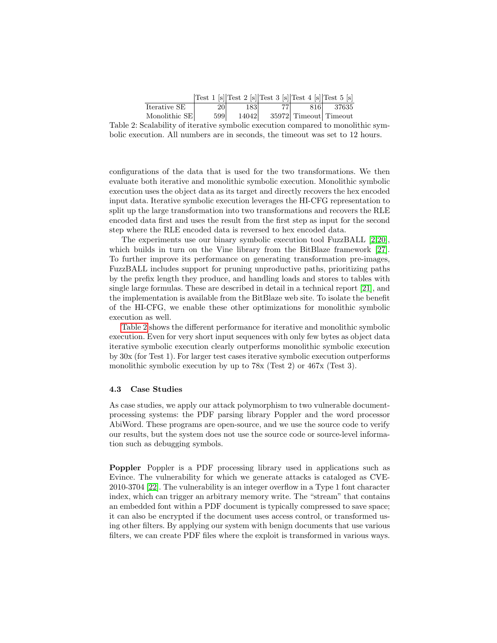|                                        |           | $ Test 1[s] Test 2[s] Test 3[s] Test 4[s] Test 5[s]$ |     |                       |
|----------------------------------------|-----------|------------------------------------------------------|-----|-----------------------|
| Iterative SE                           | <b>20</b> | 183 <sup> </sup>                                     | 771 | 816 37635             |
| Monolithic SE                          | 599       | 14042                                                |     | 35972 Timeout Timeout |
| $\mathbf{1}$ $\mathbf{1}$ $\mathbf{1}$ |           |                                                      |     |                       |

<span id="page-12-0"></span>Table 2: Scalability of iterative symbolic execution compared to monolithic symbolic execution. All numbers are in seconds, the timeout was set to 12 hours.

configurations of the data that is used for the two transformations. We then evaluate both iterative and monolithic symbolic execution. Monolithic symbolic execution uses the object data as its target and directly recovers the hex encoded input data. Iterative symbolic execution leverages the HI-CFG representation to split up the large transformation into two transformations and recovers the RLE encoded data first and uses the result from the first step as input for the second step where the RLE encoded data is reversed to hex encoded data.

The experiments use our binary symbolic execution tool FuzzBALL [\[2,](#page-16-3)[20\]](#page-17-10), which builds in turn on the Vine library from the BitBlaze framework [\[27\]](#page-17-11). To further improve its performance on generating transformation pre-images, FuzzBALL includes support for pruning unproductive paths, prioritizing paths by the prefix length they produce, and handling loads and stores to tables with single large formulas. These are described in detail in a technical report [\[21\]](#page-17-3), and the implementation is available from the BitBlaze web site. To isolate the benefit of the HI-CFG, we enable these other optimizations for monolithic symbolic execution as well.

[Table 2](#page-12-0) shows the different performance for iterative and monolithic symbolic execution. Even for very short input sequences with only few bytes as object data iterative symbolic execution clearly outperforms monolithic symbolic execution by 30x (for Test 1). For larger test cases iterative symbolic execution outperforms monolithic symbolic execution by up to 78x (Test 2) or 467x (Test 3).

#### 4.3 Case Studies

As case studies, we apply our attack polymorphism to two vulnerable documentprocessing systems: the PDF parsing library Poppler and the word processor AbiWord. These programs are open-source, and we use the source code to verify our results, but the system does not use the source code or source-level information such as debugging symbols.

Poppler Poppler is a PDF processing library used in applications such as Evince. The vulnerability for which we generate attacks is cataloged as CVE-2010-3704 [\[22\]](#page-17-12). The vulnerability is an integer overflow in a Type 1 font character index, which can trigger an arbitrary memory write. The "stream" that contains an embedded font within a PDF document is typically compressed to save space; it can also be encrypted if the document uses access control, or transformed using other filters. By applying our system with benign documents that use various filters, we can create PDF files where the exploit is transformed in various ways.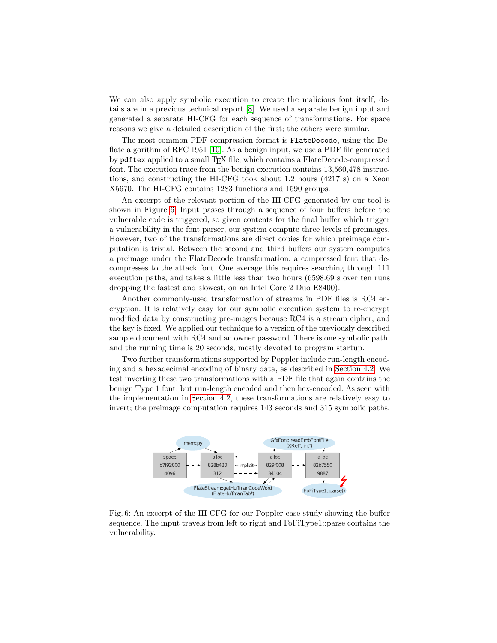We can also apply symbolic execution to create the malicious font itself; details are in a previous technical report [\[8\]](#page-17-6). We used a separate benign input and generated a separate HI-CFG for each sequence of transformations. For space reasons we give a detailed description of the first; the others were similar.

The most common PDF compression format is FlateDecode, using the Deflate algorithm of RFC 1951 [\[10\]](#page-17-13). As a benign input, we use a PDF file generated by pdftex applied to a small T<sub>E</sub>X file, which contains a FlateDecode-compressed font. The execution trace from the benign execution contains 13,560,478 instructions, and constructing the HI-CFG took about 1.2 hours (4217 s) on a Xeon X5670. The HI-CFG contains 1283 functions and 1590 groups.

An excerpt of the relevant portion of the HI-CFG generated by our tool is shown in Figure [6.](#page-13-0) Input passes through a sequence of four buffers before the vulnerable code is triggered, so given contents for the final buffer which trigger a vulnerability in the font parser, our system compute three levels of preimages. However, two of the transformations are direct copies for which preimage computation is trivial. Between the second and third buffers our system computes a preimage under the FlateDecode transformation: a compressed font that decompresses to the attack font. One average this requires searching through 111 execution paths, and takes a little less than two hours (6598.69 s over ten runs dropping the fastest and slowest, on an Intel Core 2 Duo E8400).

Another commonly-used transformation of streams in PDF files is RC4 encryption. It is relatively easy for our symbolic execution system to re-encrypt modified data by constructing pre-images because RC4 is a stream cipher, and the key is fixed. We applied our technique to a version of the previously described sample document with RC4 and an owner password. There is one symbolic path, and the running time is 20 seconds, mostly devoted to program startup.

Two further transformations supported by Poppler include run-length encoding and a hexadecimal encoding of binary data, as described in [Section 4.2.](#page-11-1) We test inverting these two transformations with a PDF file that again contains the benign Type 1 font, but run-length encoded and then hex-encoded. As seen with the implementation in [Section 4.2,](#page-11-1) these transformations are relatively easy to invert; the preimage computation requires 143 seconds and 315 symbolic paths.

<span id="page-13-0"></span>

Fig. 6: An excerpt of the HI-CFG for our Poppler case study showing the buffer sequence. The input travels from left to right and FoFiType1::parse contains the vulnerability.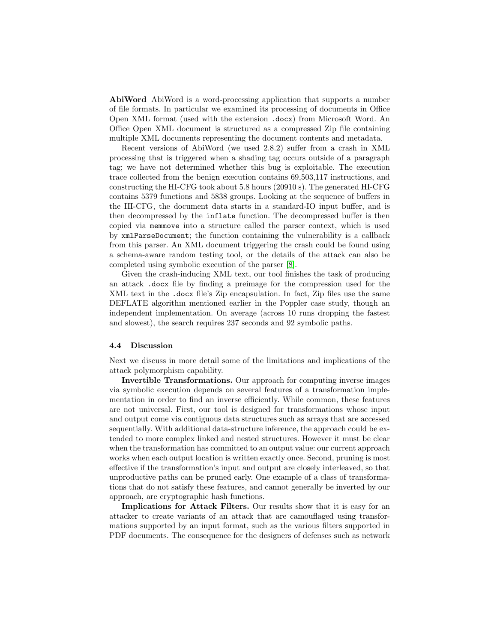AbiWord AbiWord is a word-processing application that supports a number of file formats. In particular we examined its processing of documents in Office Open XML format (used with the extension .docx) from Microsoft Word. An Office Open XML document is structured as a compressed Zip file containing multiple XML documents representing the document contents and metadata.

Recent versions of AbiWord (we used 2.8.2) suffer from a crash in XML processing that is triggered when a shading tag occurs outside of a paragraph tag; we have not determined whether this bug is exploitable. The execution trace collected from the benign execution contains 69,503,117 instructions, and constructing the HI-CFG took about 5.8 hours (20910 s). The generated HI-CFG contains 5379 functions and 5838 groups. Looking at the sequence of buffers in the HI-CFG, the document data starts in a standard-IO input buffer, and is then decompressed by the inflate function. The decompressed buffer is then copied via memmove into a structure called the parser context, which is used by xmlParseDocument; the function containing the vulnerability is a callback from this parser. An XML document triggering the crash could be found using a schema-aware random testing tool, or the details of the attack can also be completed using symbolic execution of the parser [\[8\]](#page-17-6).

Given the crash-inducing XML text, our tool finishes the task of producing an attack .docx file by finding a preimage for the compression used for the XML text in the .docx file's Zip encapsulation. In fact, Zip files use the same DEFLATE algorithm mentioned earlier in the Poppler case study, though an independent implementation. On average (across 10 runs dropping the fastest and slowest), the search requires 237 seconds and 92 symbolic paths.

#### 4.4 Discussion

Next we discuss in more detail some of the limitations and implications of the attack polymorphism capability.

Invertible Transformations. Our approach for computing inverse images via symbolic execution depends on several features of a transformation implementation in order to find an inverse efficiently. While common, these features are not universal. First, our tool is designed for transformations whose input and output come via contiguous data structures such as arrays that are accessed sequentially. With additional data-structure inference, the approach could be extended to more complex linked and nested structures. However it must be clear when the transformation has committed to an output value: our current approach works when each output location is written exactly once. Second, pruning is most effective if the transformation's input and output are closely interleaved, so that unproductive paths can be pruned early. One example of a class of transformations that do not satisfy these features, and cannot generally be inverted by our approach, are cryptographic hash functions.

Implications for Attack Filters. Our results show that it is easy for an attacker to create variants of an attack that are camouflaged using transformations supported by an input format, such as the various filters supported in PDF documents. The consequence for the designers of defenses such as network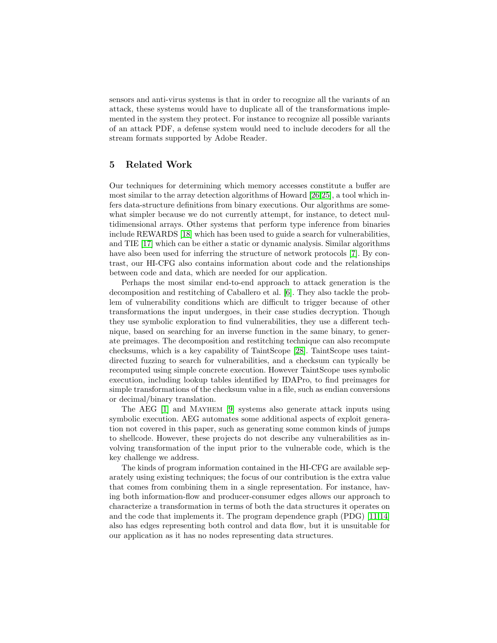sensors and anti-virus systems is that in order to recognize all the variants of an attack, these systems would have to duplicate all of the transformations implemented in the system they protect. For instance to recognize all possible variants of an attack PDF, a defense system would need to include decoders for all the stream formats supported by Adobe Reader.

# 5 Related Work

Our techniques for determining which memory accesses constitute a buffer are most similar to the array detection algorithms of Howard [\[26,](#page-17-1)[25\]](#page-17-14), a tool which infers data-structure definitions from binary executions. Our algorithms are somewhat simpler because we do not currently attempt, for instance, to detect multidimensional arrays. Other systems that perform type inference from binaries include REWARDS [\[18\]](#page-17-0) which has been used to guide a search for vulnerabilities, and TIE [\[17\]](#page-17-2) which can be either a static or dynamic analysis. Similar algorithms have also been used for inferring the structure of network protocols [\[7\]](#page-17-15). By contrast, our HI-CFG also contains information about code and the relationships between code and data, which are needed for our application.

Perhaps the most similar end-to-end approach to attack generation is the decomposition and restitching of Caballero et al. [\[6\]](#page-16-4). They also tackle the problem of vulnerability conditions which are difficult to trigger because of other transformations the input undergoes, in their case studies decryption. Though they use symbolic exploration to find vulnerabilities, they use a different technique, based on searching for an inverse function in the same binary, to generate preimages. The decomposition and restitching technique can also recompute checksums, which is a key capability of TaintScope [\[28\]](#page-17-16). TaintScope uses taintdirected fuzzing to search for vulnerabilities, and a checksum can typically be recomputed using simple concrete execution. However TaintScope uses symbolic execution, including lookup tables identified by IDAPro, to find preimages for simple transformations of the checksum value in a file, such as endian conversions or decimal/binary translation.

The AEG [\[1\]](#page-16-5) and Mayhem [\[9\]](#page-17-17) systems also generate attack inputs using symbolic execution. AEG automates some additional aspects of exploit generation not covered in this paper, such as generating some common kinds of jumps to shellcode. However, these projects do not describe any vulnerabilities as involving transformation of the input prior to the vulnerable code, which is the key challenge we address.

The kinds of program information contained in the HI-CFG are available separately using existing techniques; the focus of our contribution is the extra value that comes from combining them in a single representation. For instance, having both information-flow and producer-consumer edges allows our approach to characterize a transformation in terms of both the data structures it operates on and the code that implements it. The program dependence graph (PDG) [\[11,](#page-17-18)[14\]](#page-17-19) also has edges representing both control and data flow, but it is unsuitable for our application as it has no nodes representing data structures.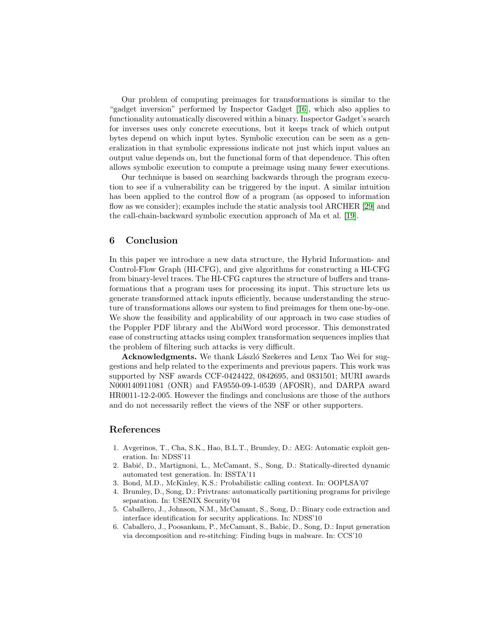Our problem of computing preimages for transformations is similar to the "gadget inversion" performed by Inspector Gadget [\[16\]](#page-17-20), which also applies to functionality automatically discovered within a binary. Inspector Gadget's search for inverses uses only concrete executions, but it keeps track of which output bytes depend on which input bytes. Symbolic execution can be seen as a generalization in that symbolic expressions indicate not just which input values an output value depends on, but the functional form of that dependence. This often allows symbolic execution to compute a preimage using many fewer executions.

Our technique is based on searching backwards through the program execution to see if a vulnerability can be triggered by the input. A similar intuition has been applied to the control flow of a program (as opposed to information flow as we consider); examples include the static analysis tool ARCHER [\[29\]](#page-17-21) and the call-chain-backward symbolic execution approach of Ma et al. [\[19\]](#page-17-22).

# 6 Conclusion

In this paper we introduce a new data structure, the Hybrid Information- and Control-Flow Graph (HI-CFG), and give algorithms for constructing a HI-CFG from binary-level traces. The HI-CFG captures the structure of buffers and transformations that a program uses for processing its input. This structure lets us generate transformed attack inputs efficiently, because understanding the structure of transformations allows our system to find preimages for them one-by-one. We show the feasibility and applicability of our approach in two case studies of the Poppler PDF library and the AbiWord word processor. This demonstrated ease of constructing attacks using complex transformation sequences implies that the problem of filtering such attacks is very difficult.

Acknowledgments. We thank László Szekeres and Lenx Tao Wei for suggestions and help related to the experiments and previous papers. This work was supported by NSF awards CCF-0424422, 0842695, and 0831501; MURI awards N000140911081 (ONR) and FA9550-09-1-0539 (AFOSR), and DARPA award HR0011-12-2-005. However the findings and conclusions are those of the authors and do not necessarily reflect the views of the NSF or other supporters.

### References

- <span id="page-16-5"></span>1. Avgerinos, T., Cha, S.K., Hao, B.L.T., Brumley, D.: AEG: Automatic exploit generation. In: NDSS'11
- <span id="page-16-3"></span>2. Babi´c, D., Martignoni, L., McCamant, S., Song, D.: Statically-directed dynamic automated test generation. In: ISSTA'11
- <span id="page-16-2"></span>3. Bond, M.D., McKinley, K.S.: Probabilistic calling context. In: OOPLSA'07
- <span id="page-16-1"></span>4. Brumley, D., Song, D.: Privtrans: automatically partitioning programs for privilege separation. In: USENIX Security'04
- <span id="page-16-0"></span>5. Caballero, J., Johnson, N.M., McCamant, S., Song, D.: Binary code extraction and interface identification for security applications. In: NDSS'10
- <span id="page-16-4"></span>6. Caballero, J., Poosankam, P., McCamant, S., Babic, D., Song, D.: Input generation via decomposition and re-stitching: Finding bugs in malware. In: CCS'10